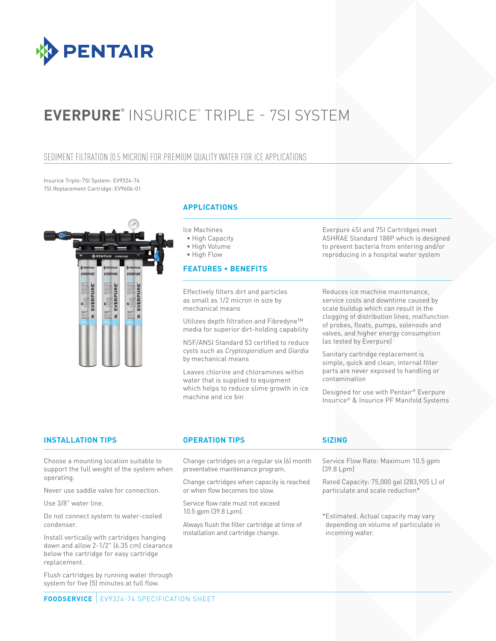

# **EVERPURE®** INSURICE® TRIPLE - 7SI SYSTEM

## SEDIMENT FILTRATION (0.5 MICRON) FOR PREMIUM QUALITY WATER FOR ICE APPLICATIONS

Insurice Triple-7SI System: EV9324-74 7SI Replacement Cartridge: EV9606-01



## **APPLICATIONS**

Ice Machines

- High Capacity
- High Volume

• High Flow

### **FEATURES • BENEFITS**

Effectively filters dirt and particles as small as 1/2 micron in size by mechanical means

Utilizes depth filtration and Fibredyne™ media for superior dirt-holding capability

NSF/ANSI Standard 53 certified to reduce cysts such as *Cryptosporidium* and *Giardia* by mechanical means

Leaves chlorine and chloramines within water that is supplied to equipment which helps to reduce slime growth in ice machine and ice bin

Everpure 4SI and 7SI Cartridges meet ASHRAE Standard 188P which is designed to prevent bacteria from entering and/or reproducing in a hospital water system

Reduces ice machine maintenance, service costs and downtime caused by scale buildup which can result in the clogging of distribution lines, malfunction of probes, floats, pumps, solenoids and valves, and higher energy consumption (as tested by Everpure)

Sanitary cartridge replacement is simple, quick and clean; internal filter parts are never exposed to handling or contamination

Designed for use with Pentair® Everpure Insurice® & Insurice PF Manifold Systems

## **INSTALLATION TIPS OPERATION TIPS SIZING**

Choose a mounting location suitable to support the full weight of the system when operating.

Never use saddle valve for connection.

Use 3/8" water line.

Do not connect system to water-cooled condenser.

Install vertically with cartridges hanging down and allow 2-1/2" (6.35 cm) clearance below the cartridge for easy cartridge replacement.

Flush cartridges by running water through system for five (5) minutes at full flow.

Change cartridges on a regular six (6) month preventative maintenance program.

Change cartridges when capacity is reached or when flow becomes too slow.

Service flow rate must not exceed 10.5 gpm (39.8 Lpm).

Always flush the filter cartridge at time of installation and cartridge change.

Service Flow Rate: Maximum 10.5 gpm (39.8 Lpm)

Rated Capacity: 75,000 gal (283,905 L) of particulate and scale reduction\*

\*Estimated. Actual capacity may vary depending on volume of particulate in incoming water.